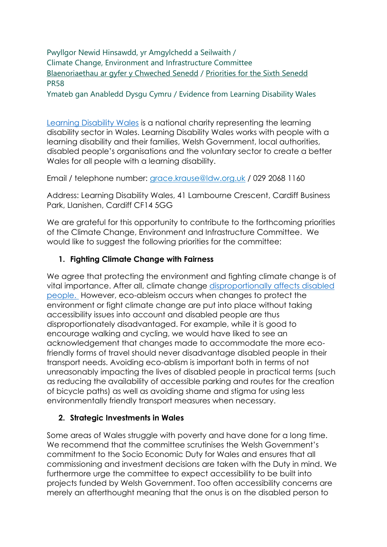Pwyllgor Newid Hinsawdd, yr Amgylchedd a Seilwaith / Climate Change, Environment and Infrastructure Committee [Blaenoriaethau ar gyfer y Chweched Senedd](https://busnes.senedd.cymru/mgConsultationDisplay.aspx?id=427&RPID=1026452002&cp=yes) / [Priorities for the Sixth Senedd](https://business.senedd.wales/mgConsultationDisplay.aspx?id=427&RPID=1026452002&cp=yes) PR58

Ymateb gan Anabledd Dysgu Cymru / Evidence from Learning Disability Wales

[Learning Disability Wales](https://www.ldw.org.uk/) is a national charity representing the learning disability sector in Wales. Learning Disability Wales works with people with a learning disability and their families, Welsh Government, local authorities, disabled people's organisations and the voluntary sector to create a better Wales for all people with a learning disability.

Email / telephone number: [grace.krause@ldw.org.uk](mailto:grace.krause@ldw.org.uk) / 029 2068 1160

Address: Learning Disability Wales, 41 Lambourne Crescent, Cardiff Business Park, Llanishen, Cardiff CF14 5GG

We are grateful for this opportunity to contribute to the forthcoming priorities of the Climate Change, Environment and Infrastructure Committee. We would like to suggest the following priorities for the committee:

### **1. Fighting Climate Change with Fairness**

We agree that protecting the environment and fighting climate change is of vital importance. After all, climate change [disproportionally affects disabled](https://www.ldw.org.uk/why-climate-change-is-a-disability-issue/)  [people.](https://www.ldw.org.uk/why-climate-change-is-a-disability-issue/) However, eco-ableism occurs when changes to protect the environment or fight climate change are put into place without taking accessibility issues into account and disabled people are thus disproportionately disadvantaged. For example, while it is good to encourage walking and cycling, we would have liked to see an acknowledgement that changes made to accommodate the more ecofriendly forms of travel should never disadvantage disabled people in their transport needs. Avoiding eco-ablism is important both in terms of not unreasonably impacting the lives of disabled people in practical terms (such as reducing the availability of accessible parking and routes for the creation of bicycle paths) as well as avoiding shame and stigma for using less environmentally friendly transport measures when necessary.

### **2. Strategic Investments in Wales**

Some areas of Wales struggle with poverty and have done for a long time. We recommend that the committee scrutinises the Welsh Government's commitment to the Socio Economic Duty for Wales and ensures that all commissioning and investment decisions are taken with the Duty in mind. We furthermore urge the committee to expect accessibility to be built into projects funded by Welsh Government. Too often accessibility concerns are merely an afterthought meaning that the onus is on the disabled person to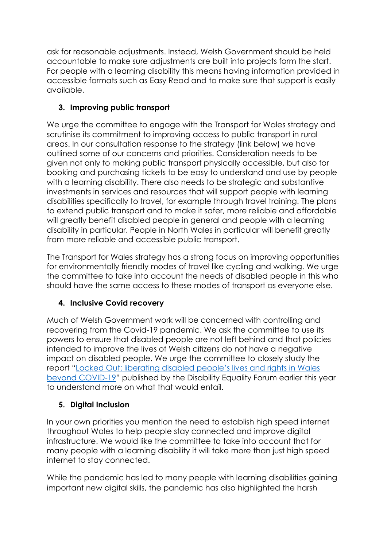ask for reasonable adjustments. Instead, Welsh Government should be held accountable to make sure adjustments are built into projects form the start. For people with a learning disability this means having information provided in accessible formats such as Easy Read and to make sure that support is easily available.

# **3. Improving public transport**

We urge the committee to engage with the Transport for Wales strategy and scrutinise its commitment to improving access to public transport in rural areas. In our consultation response to the strategy (link below) we have outlined some of our concerns and priorities. Consideration needs to be given not only to making public transport physically accessible, but also for booking and purchasing tickets to be easy to understand and use by people with a learning disability. There also needs to be strategic and substantive investments in services and resources that will support people with learning disabilities specifically to travel, for example through travel training. The plans to extend public transport and to make it safer, more reliable and affordable will greatly benefit disabled people in general and people with a learning disability in particular. People in North Wales in particular will benefit greatly from more reliable and accessible public transport.

The Transport for Wales strategy has a strong focus on improving opportunities for environmentally friendly modes of travel like cycling and walking. We urge the committee to take into account the needs of disabled people in this who should have the same access to these modes of transport as everyone else.

## **4. Inclusive Covid recovery**

Much of Welsh Government work will be concerned with controlling and recovering from the Covid-19 pandemic. We ask the committee to use its powers to ensure that disabled people are not left behind and that policies intended to improve the lives of Welsh citizens do not have a negative impact on disabled people. We urge the committee to closely study the report "Locked Out[: liberating disabled people's lives and rights in Wales](https://gov.wales/locked-out-liberating-disabled-peoples-lives-and-rights-wales-beyond-covid-19-welsh-governments-0)  [beyond COVID-19](https://gov.wales/locked-out-liberating-disabled-peoples-lives-and-rights-wales-beyond-covid-19-welsh-governments-0)" published by the Disability Equality Forum earlier this year to understand more on what that would entail.

## **5. Digital Inclusion**

In your own priorities you mention the need to establish high speed internet throughout Wales to help people stay connected and improve digital infrastructure. We would like the committee to take into account that for many people with a learning disability it will take more than just high speed internet to stay connected.

While the pandemic has led to many people with learning disabilities gaining important new digital skills, the pandemic has also highlighted the harsh